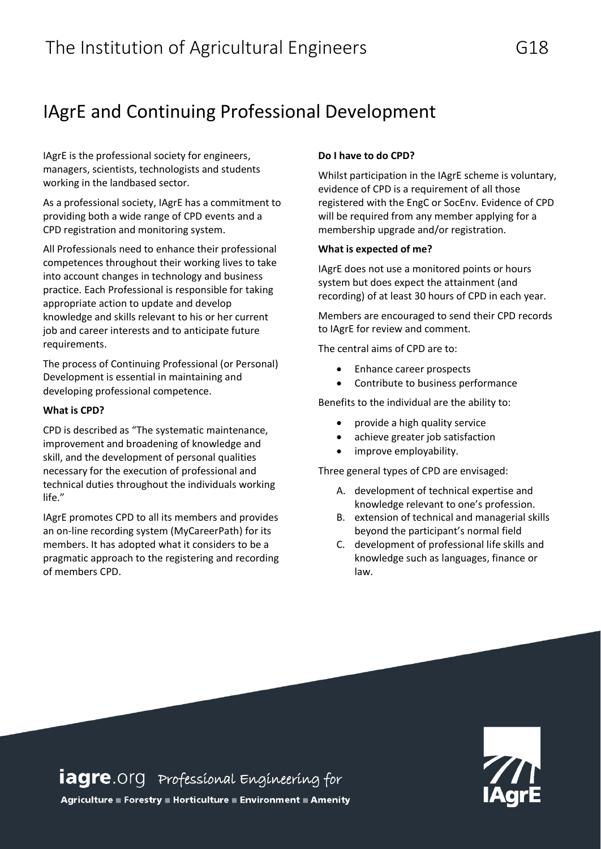# IAgrE and Continuing Professional Development

IAgrE is the professional society for engineers, managers, scientists, technologists and students working in the landbased sector.

As a professional society, IAgrE has a commitment to providing both a wide range of CPD events and a CPD registration and monitoring system.

All Professionals need to enhance their professional competences throughout their working lives to take into account changes in technology and business practice. Each Professional is responsible for taking appropriate action to update and develop knowledge and skills relevant to his or her current job and career interests and to anticipate future requirements.

The process of Continuing Professional (or Personal) Development is essential in maintaining and developing professional competence.

## **What is CPD?**

CPD is described as "The systematic maintenance, improvement and broadening of knowledge and skill, and the development of personal qualities necessary for the execution of professional and technical duties throughout the individuals working life."

IAgrE promotes CPD to all its members and provides an on-line recording system (MyCareerPath) for its members. It has adopted what it considers to be a pragmatic approach to the registering and recording of members CPD.

# **Do I have to do CPD?**

Whilst participation in the IAgrE scheme is voluntary, evidence of CPD is a requirement of all those registered with the EngC or SocEnv. Evidence of CPD will be required from any member applying for a membership upgrade and/or registration.

# **What is expected of me?**

IAgrE does not use a monitored points or hours system but does expect the attainment (and recording) of at least 30 hours of CPD in each year.

Members are encouraged to send their CPD records to IAgrE for review and comment.

The central aims of CPD are to:

- Enhance career prospects
- Contribute to business performance

Benefits to the individual are the ability to:

- $\frac{P_{\text{c}}}{P_{\text{c}}}}$  provide a high quality service
	- achieve greater job satisfaction
	- improve employability.

Three general types of CPD are envisaged:

- A. development of technical expertise and knowledge relevant to one's profession.
- B. extension of technical and managerial skills beyond the participant's normal field
- C. development of professional life skills and knowledge such as languages, finance or law.